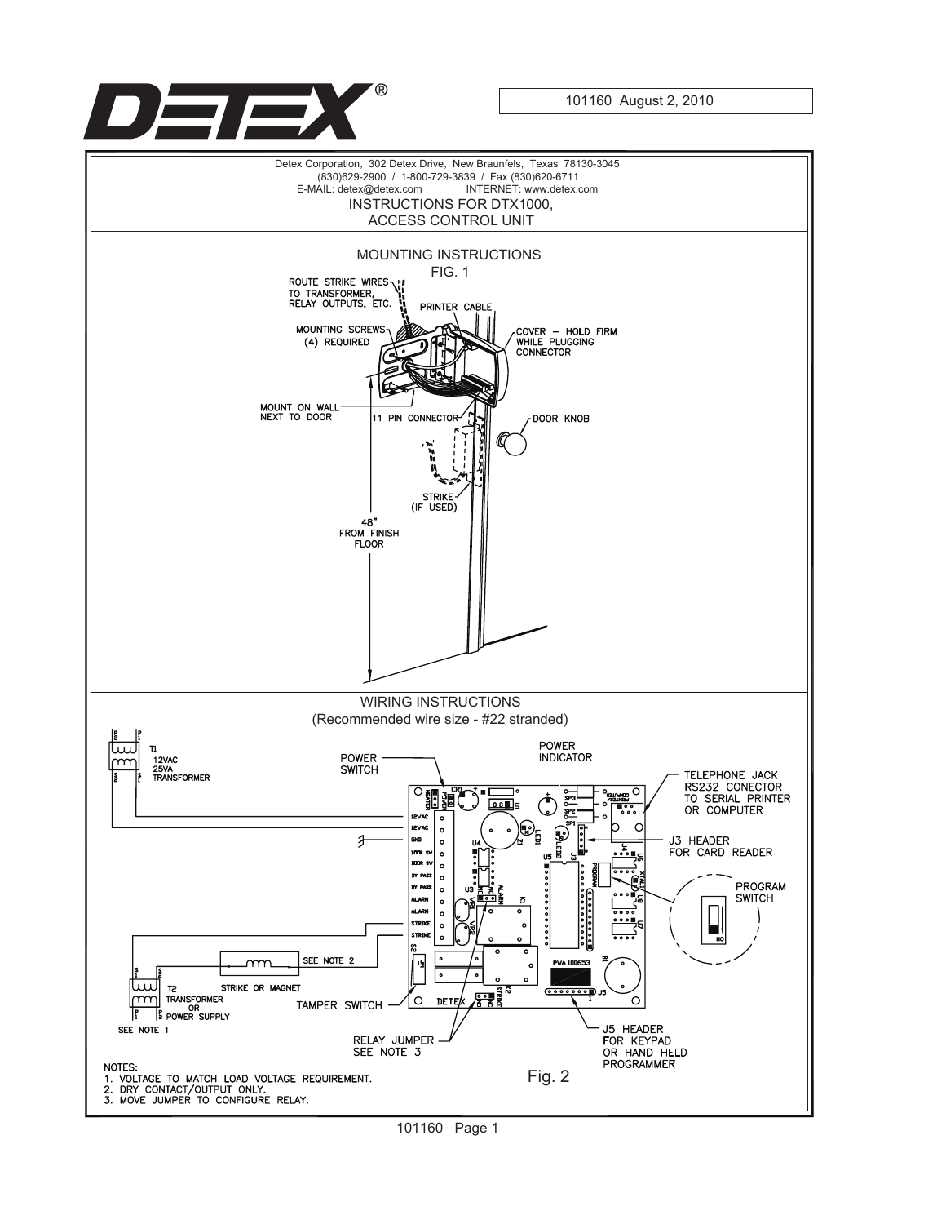

101160 August 2, 2010

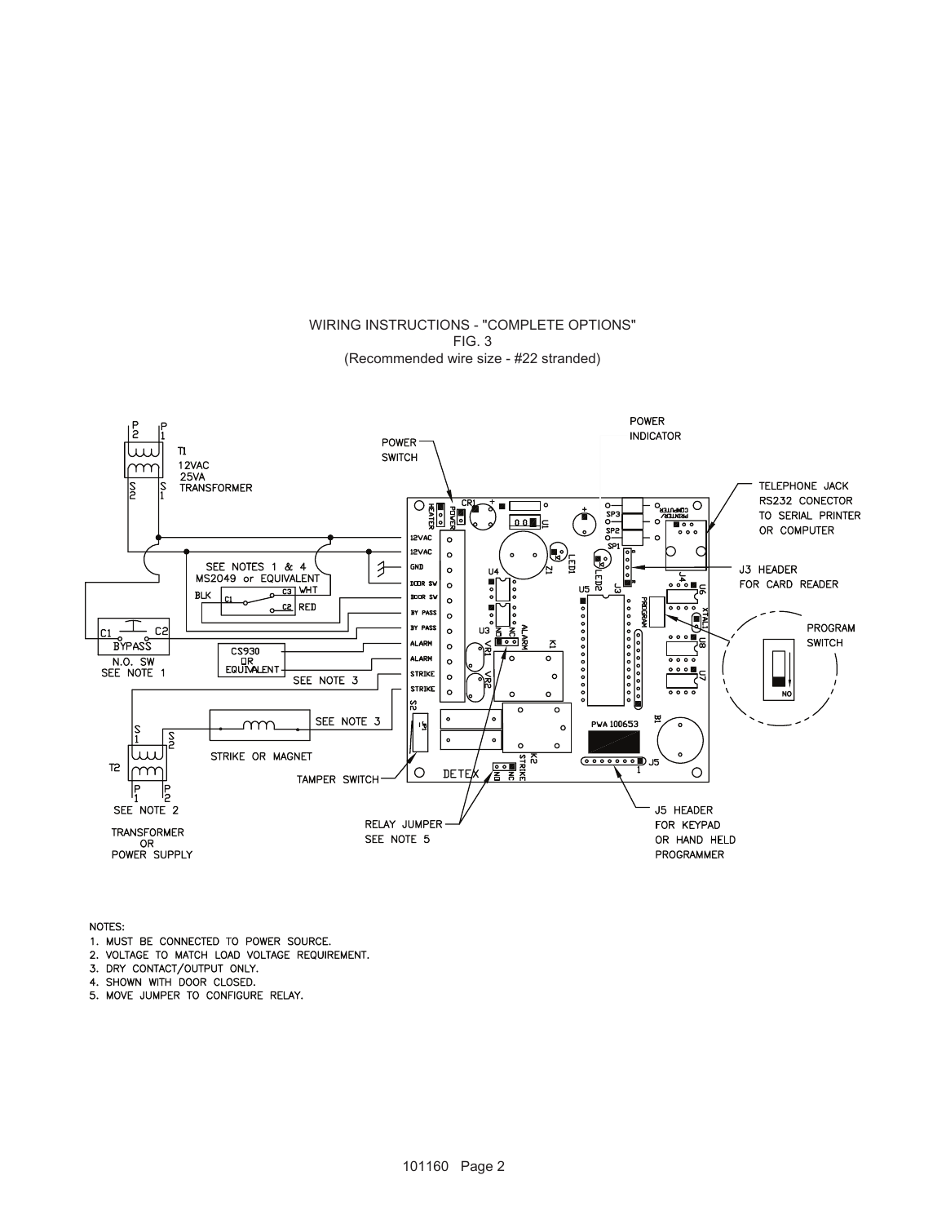#### WIRING INSTRUCTIONS - "COMPLETE OPTIONS" FIG. 3 (Recommended wire size - #22 stranded)



NOTES:

- 1. MUST BE CONNECTED TO POWER SOURCE.
- 2. VOLTAGE TO MATCH LOAD VOLTAGE REQUIREMENT.
- 3. DRY CONTACT/OUTPUT ONLY.
- 4. SHOWN WITH DOOR CLOSED.
- 5. MOVE JUMPER TO CONFIGURE RELAY.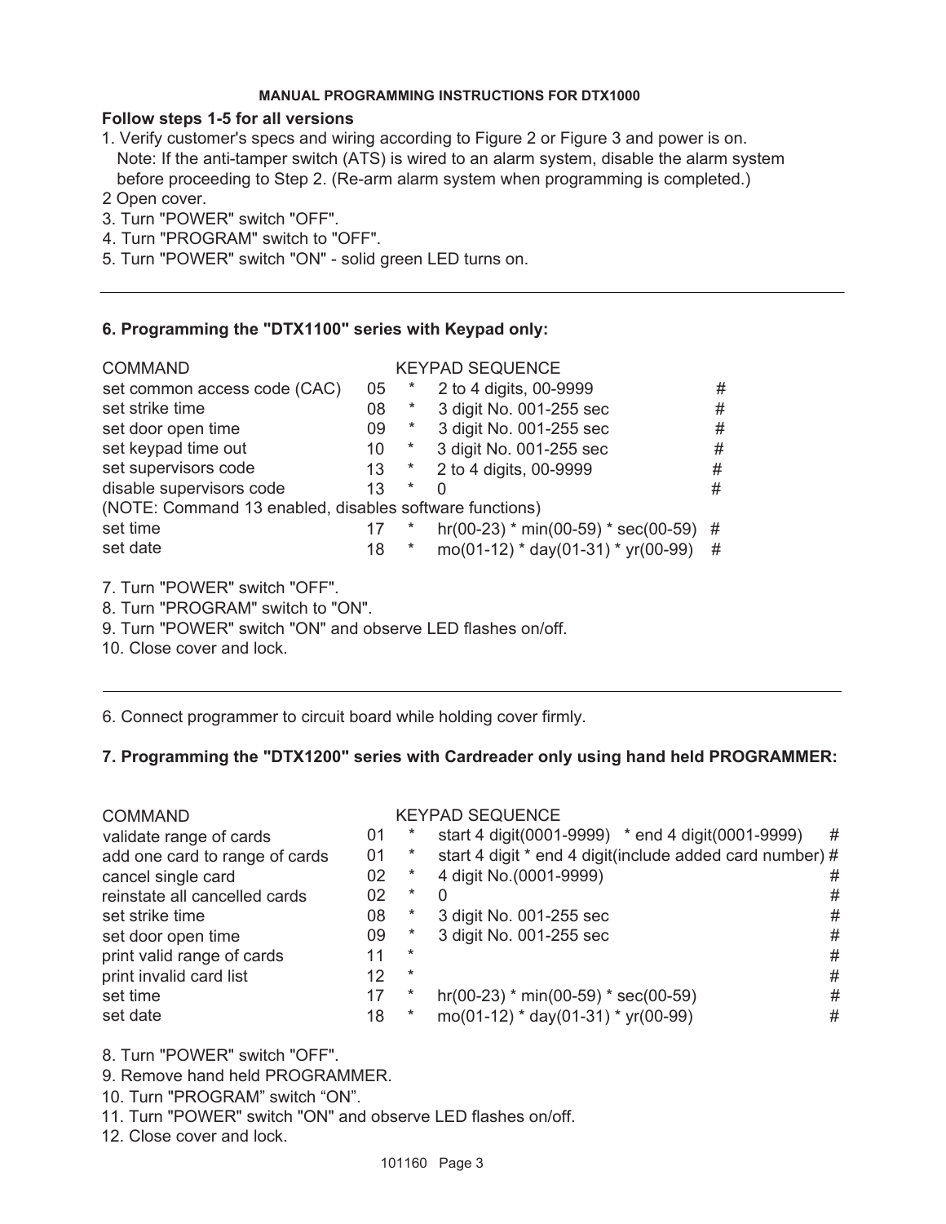#### **MANUAL PROGRAMMING INSTRUCTIONS FOR DTX1000**

# **Follow steps 1-5 for all versions**

- 1. Verify customer's specs and wiring according to Figure 2 or Figure 3 and power is on. Note: If the anti-tamper switch (ATS) is wired to an alarm system, disable the alarm system before proceeding to Step 2. (Re-arm alarm system when programming is completed.)
- 2 Open cover.
- 3. Turn "POWER" switch "OFF".
- 4. Turn "PROGRAM" switch to "OFF".
- 5. Turn "POWER" switch "ON" solid green LED turns on.

### **6. Programming the "DTX1100" series with Keypad only:**

| <b>COMMAND</b>                                          |  |          | <b>KEYPAD SEQUENCE</b>                |   |  |  |  |  |  |  |
|---------------------------------------------------------|--|----------|---------------------------------------|---|--|--|--|--|--|--|
| set common access code (CAC)<br>05                      |  |          | 2 to 4 digits, 00-9999                | # |  |  |  |  |  |  |
| set strike time<br>08                                   |  | *        | 3 digit No. 001-255 sec               | # |  |  |  |  |  |  |
| set door open time<br>09                                |  | $\ast$   | 3 digit No. 001-255 sec               | # |  |  |  |  |  |  |
| set keypad time out<br>10                               |  | $\ast$   | 3 digit No. 001-255 sec               | # |  |  |  |  |  |  |
| set supervisors code<br>13                              |  | $^\star$ | 2 to 4 digits, 00-9999                | # |  |  |  |  |  |  |
| disable supervisors code<br>13                          |  | $^\ast$  | 0                                     | # |  |  |  |  |  |  |
| (NOTE: Command 13 enabled, disables software functions) |  |          |                                       |   |  |  |  |  |  |  |
| set time<br>17                                          |  |          | hr(00-23) * min(00-59) * sec(00-59) # |   |  |  |  |  |  |  |
| set date<br>18                                          |  |          | $mo(01-12) * day(01-31) * yr(00-99)$  | # |  |  |  |  |  |  |

7. Turn "POWER" switch "OFF".

- 8. Turn "PROGRAM" switch to "ON".
- 9. Turn "POWER" switch "ON" and observe LED flashes on/off.
- 10. Close cover and lock.

6. Connect programmer to circuit board while holding cover firmly.

# **7. Programming the "DTX1200" series with Cardreader only using hand held PROGRAMMER:**

| <b>COMMAND</b>                 |    |         | <b>KEYPAD SEQUENCE</b>                                   |   |
|--------------------------------|----|---------|----------------------------------------------------------|---|
| validate range of cards        | 01 |         | start 4 digit(0001-9999) * end 4 digit(0001-9999)        | # |
| add one card to range of cards | 01 |         | start 4 digit * end 4 digit(include added card number) # |   |
| cancel single card             | 02 |         | 4 digit No.(0001-9999)                                   | # |
| reinstate all cancelled cards  | 02 | $\ast$  | O                                                        | # |
| set strike time                | 08 |         | 3 digit No. 001-255 sec                                  | # |
| set door open time             | 09 |         | 3 digit No. 001-255 sec                                  | # |
| print valid range of cards     | 11 | $^\ast$ |                                                          | # |
| print invalid card list        | 12 | $^\ast$ |                                                          | # |
| set time                       | 17 |         | $hr(00-23)$ * min(00-59) * sec(00-59)                    | # |
| set date                       | 18 | *       | mo(01-12) * day(01-31) * yr(00-99)                       | # |
|                                |    |         |                                                          |   |

8. Turn "POWER" switch "OFF".

9. Remove hand held PROGRAMMER.

10. Turn "PROGRAM" switch "ON".

11. Turn "POWER" switch "ON" and observe LED flashes on/off.

12. Close cover and lock.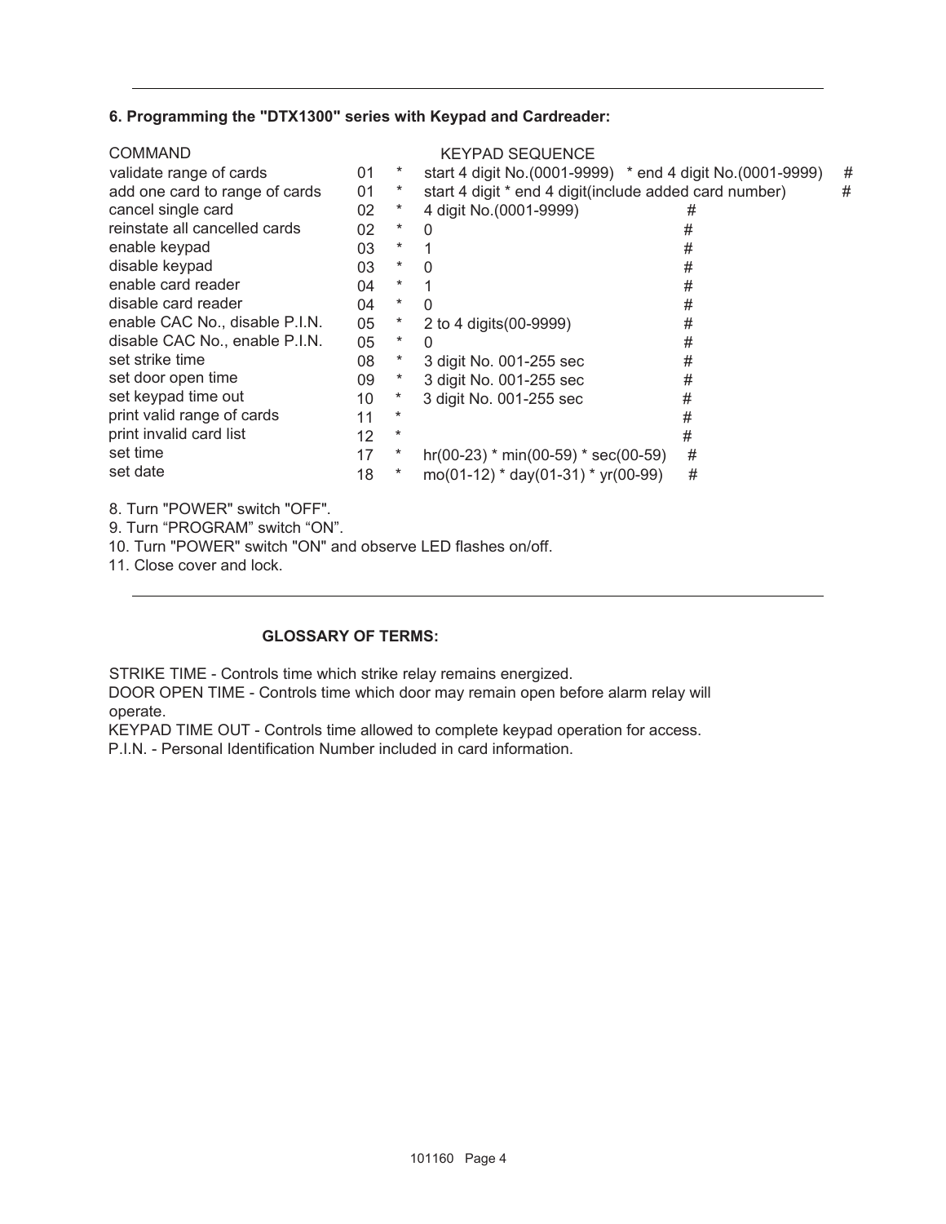# **6. Programming the "DTX1300" series with Keypad and Cardreader:**

|    |          | <b>KEYPAD SEQUENCE</b>  |   |                                                                                                                                                                                                        |
|----|----------|-------------------------|---|--------------------------------------------------------------------------------------------------------------------------------------------------------------------------------------------------------|
| 01 | ×        |                         |   | #                                                                                                                                                                                                      |
| 01 |          |                         |   | #                                                                                                                                                                                                      |
| 02 |          | 4 digit No. (0001-9999) | # |                                                                                                                                                                                                        |
| 02 | $\ast$   | $\Omega$                | # |                                                                                                                                                                                                        |
| 03 | *        |                         | # |                                                                                                                                                                                                        |
| 03 | *        | $\Omega$                | # |                                                                                                                                                                                                        |
| 04 | *        |                         | # |                                                                                                                                                                                                        |
| 04 | $^\star$ | $\Omega$                | # |                                                                                                                                                                                                        |
| 05 | $\ast$   | 2 to 4 digits (00-9999) | # |                                                                                                                                                                                                        |
| 05 | $^\star$ | $\Omega$                | # |                                                                                                                                                                                                        |
| 08 | $\ast$   | 3 digit No. 001-255 sec | # |                                                                                                                                                                                                        |
| 09 |          | 3 digit No. 001-255 sec | # |                                                                                                                                                                                                        |
| 10 | *        | 3 digit No. 001-255 sec | # |                                                                                                                                                                                                        |
| 11 | *        |                         | # |                                                                                                                                                                                                        |
| 12 | *        |                         | # |                                                                                                                                                                                                        |
| 17 |          |                         | # |                                                                                                                                                                                                        |
| 18 |          |                         | # |                                                                                                                                                                                                        |
|    |          |                         |   | start 4 digit No. (0001-9999) * end 4 digit No. (0001-9999)<br>start 4 digit * end 4 digit(include added card number)<br>$hr(00-23)$ * min(00-59) * sec(00-59)<br>$mo(01-12) * day(01-31) * yr(00-99)$ |

8. Turn "POWER" switch "OFF".

9. Turn "PROGRAM" switch "ON".

10. Turn "POWER" switch "ON" and observe LED flashes on/off.

11. Close cover and lock.

### **GLOSSARY OF TERMS:**

STRIKE TIME - Controls time which strike relay remains energized.

DOOR OPEN TIME - Controls time which door may remain open before alarm relay will operate.

KEYPAD TIME OUT - Controls time allowed to complete keypad operation for access.

P.I.N. - Personal Identification Number included in card information.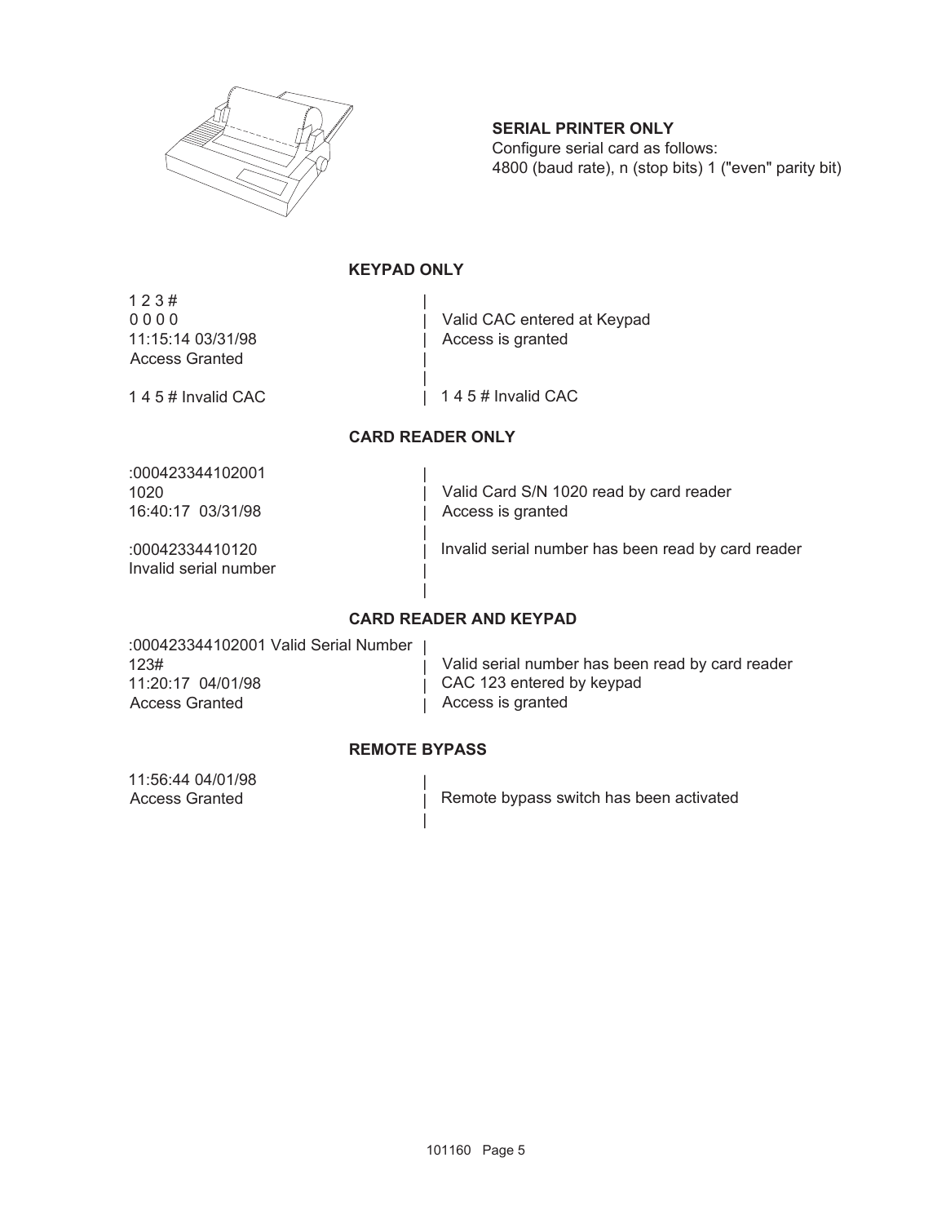

# **SERIAL PRINTER ONLY**

Configure serial card as follows: 4800 (baud rate), n (stop bits) 1 ("even" parity bit)

# **KEYPAD ONLY**

| |

| |

1 2 3 # 0 0 0 0 11:15:14 03/31/98 Access Granted

| Access is granted Valid CAC entered at Keypad

1 4 5 # Invalid CAC

| 1 4 5 # Invalid CAC

### **CARD READER ONLY**

| | | | | | |

:000423344102001 1020 16:40:17 03/31/98

:00042334410120 Invalid serial number

Valid Card S/N 1020 read by card reader Access is granted

Invalid serial number has been read by card reader

### **CARD READER AND KEYPAD**

:000423344102001 Valid Serial Number | 123# 11:20:17 04/01/98 Access Granted

Valid serial number has been read by card reader CAC 123 entered by keypad Access is granted

# **REMOTE BYPASS**

| | |

| | |

11:56:44 04/01/98 Access Granted

Remote bypass switch has been activated